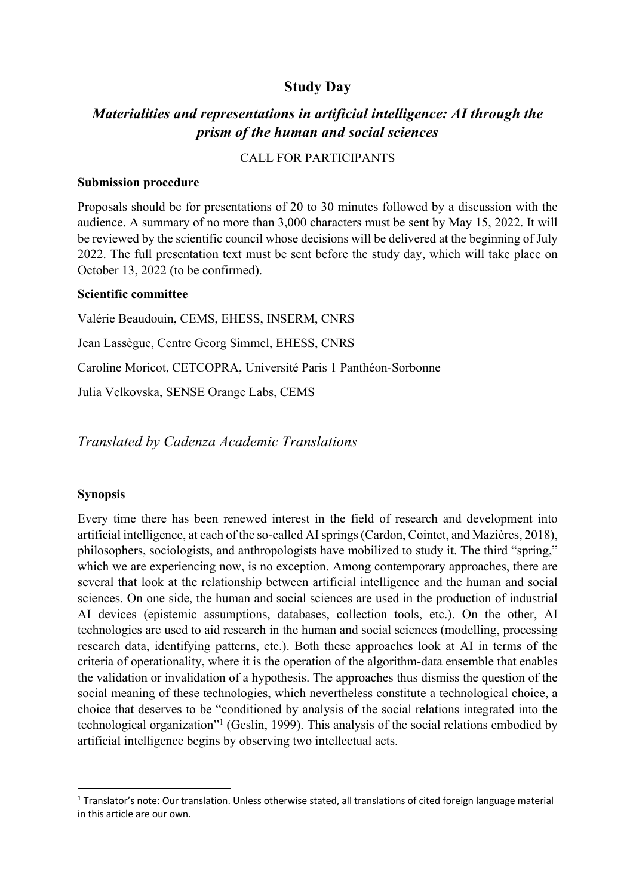# **Study Day**

# *Materialities and representations in artificial intelligence: AI through the prism of the human and social sciences*

# CALL FOR PARTICIPANTS

#### **Submission procedure**

Proposals should be for presentations of 20 to 30 minutes followed by a discussion with the audience. A summary of no more than 3,000 characters must be sent by May 15, 2022. It will be reviewed by the scientific council whose decisions will be delivered at the beginning of July 2022. The full presentation text must be sent before the study day, which will take place on October 13, 2022 (to be confirmed).

#### **Scientific committee**

Valérie Beaudouin, CEMS, EHESS, INSERM, CNRS Jean Lassègue, Centre Georg Simmel, EHESS, CNRS Caroline Moricot, CETCOPRA, Université Paris 1 Panthéon-Sorbonne Julia Velkovska, SENSE Orange Labs, CEMS

*Translated by Cadenza Academic Translations*

## **Synopsis**

Every time there has been renewed interest in the field of research and development into artificial intelligence, at each of the so-called AI springs(Cardon, Cointet, and Mazières, 2018), philosophers, sociologists, and anthropologists have mobilized to study it. The third "spring," which we are experiencing now, is no exception. Among contemporary approaches, there are several that look at the relationship between artificial intelligence and the human and social sciences. On one side, the human and social sciences are used in the production of industrial AI devices (epistemic assumptions, databases, collection tools, etc.). On the other, AI technologies are used to aid research in the human and social sciences (modelling, processing research data, identifying patterns, etc.). Both these approaches look at AI in terms of the criteria of operationality, where it is the operation of the algorithm-data ensemble that enables the validation or invalidation of a hypothesis. The approaches thus dismiss the question of the social meaning of these technologies, which nevertheless constitute a technological choice, a choice that deserves to be "conditioned by analysis of the social relations integrated into the technological organization"1 (Geslin, 1999). This analysis of the social relations embodied by artificial intelligence begins by observing two intellectual acts.

 $1$  Translator's note: Our translation. Unless otherwise stated, all translations of cited foreign language material in this article are our own.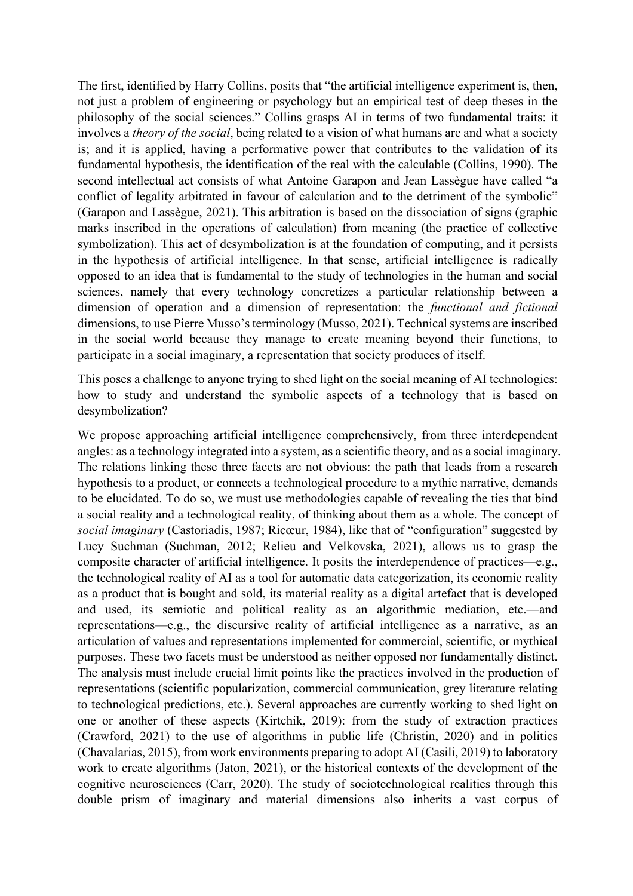The first, identified by Harry Collins, posits that "the artificial intelligence experiment is, then, not just a problem of engineering or psychology but an empirical test of deep theses in the philosophy of the social sciences." Collins grasps AI in terms of two fundamental traits: it involves a *theory of the social*, being related to a vision of what humans are and what a society is; and it is applied, having a performative power that contributes to the validation of its fundamental hypothesis, the identification of the real with the calculable (Collins, 1990). The second intellectual act consists of what Antoine Garapon and Jean Lassègue have called "a conflict of legality arbitrated in favour of calculation and to the detriment of the symbolic" (Garapon and Lassègue, 2021). This arbitration is based on the dissociation of signs (graphic marks inscribed in the operations of calculation) from meaning (the practice of collective symbolization). This act of desymbolization is at the foundation of computing, and it persists in the hypothesis of artificial intelligence. In that sense, artificial intelligence is radically opposed to an idea that is fundamental to the study of technologies in the human and social sciences, namely that every technology concretizes a particular relationship between a dimension of operation and a dimension of representation: the *functional and fictional* dimensions, to use Pierre Musso's terminology (Musso, 2021). Technical systems are inscribed in the social world because they manage to create meaning beyond their functions, to participate in a social imaginary, a representation that society produces of itself.

This poses a challenge to anyone trying to shed light on the social meaning of AI technologies: how to study and understand the symbolic aspects of a technology that is based on desymbolization?

We propose approaching artificial intelligence comprehensively, from three interdependent angles: as a technology integrated into a system, as a scientific theory, and as a social imaginary. The relations linking these three facets are not obvious: the path that leads from a research hypothesis to a product, or connects a technological procedure to a mythic narrative, demands to be elucidated. To do so, we must use methodologies capable of revealing the ties that bind a social reality and a technological reality, of thinking about them as a whole. The concept of *social imaginary* (Castoriadis, 1987; Ricœur, 1984), like that of "configuration" suggested by Lucy Suchman (Suchman, 2012; Relieu and Velkovska, 2021), allows us to grasp the composite character of artificial intelligence. It posits the interdependence of practices—e.g., the technological reality of AI as a tool for automatic data categorization, its economic reality as a product that is bought and sold, its material reality as a digital artefact that is developed and used, its semiotic and political reality as an algorithmic mediation, etc.—and representations—e.g., the discursive reality of artificial intelligence as a narrative, as an articulation of values and representations implemented for commercial, scientific, or mythical purposes. These two facets must be understood as neither opposed nor fundamentally distinct. The analysis must include crucial limit points like the practices involved in the production of representations (scientific popularization, commercial communication, grey literature relating to technological predictions, etc.). Several approaches are currently working to shed light on one or another of these aspects (Kirtchik, 2019): from the study of extraction practices (Crawford, 2021) to the use of algorithms in public life (Christin, 2020) and in politics (Chavalarias, 2015), from work environments preparing to adopt AI (Casili, 2019) to laboratory work to create algorithms (Jaton, 2021), or the historical contexts of the development of the cognitive neurosciences (Carr, 2020). The study of sociotechnological realities through this double prism of imaginary and material dimensions also inherits a vast corpus of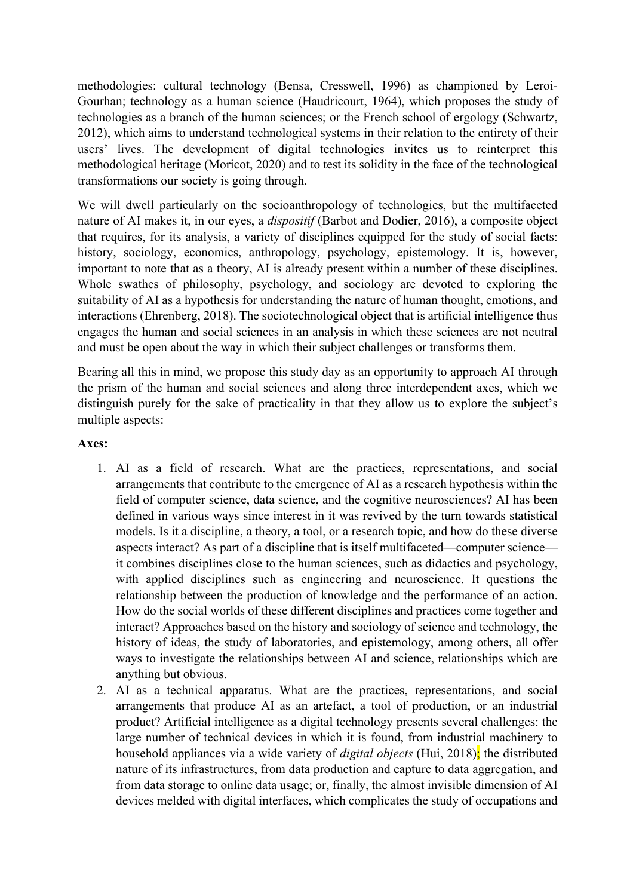methodologies: cultural technology (Bensa, Cresswell, 1996) as championed by Leroi-Gourhan; technology as a human science (Haudricourt, 1964), which proposes the study of technologies as a branch of the human sciences; or the French school of ergology (Schwartz, 2012), which aims to understand technological systems in their relation to the entirety of their users' lives. The development of digital technologies invites us to reinterpret this methodological heritage (Moricot, 2020) and to test its solidity in the face of the technological transformations our society is going through.

We will dwell particularly on the socioanthropology of technologies, but the multifaceted nature of AI makes it, in our eyes, a *dispositif* (Barbot and Dodier, 2016), a composite object that requires, for its analysis, a variety of disciplines equipped for the study of social facts: history, sociology, economics, anthropology, psychology, epistemology. It is, however, important to note that as a theory, AI is already present within a number of these disciplines. Whole swathes of philosophy, psychology, and sociology are devoted to exploring the suitability of AI as a hypothesis for understanding the nature of human thought, emotions, and interactions (Ehrenberg, 2018). The sociotechnological object that is artificial intelligence thus engages the human and social sciences in an analysis in which these sciences are not neutral and must be open about the way in which their subject challenges or transforms them.

Bearing all this in mind, we propose this study day as an opportunity to approach AI through the prism of the human and social sciences and along three interdependent axes, which we distinguish purely for the sake of practicality in that they allow us to explore the subject's multiple aspects:

## **Axes:**

- 1. AI as a field of research. What are the practices, representations, and social arrangements that contribute to the emergence of AI as a research hypothesis within the field of computer science, data science, and the cognitive neurosciences? AI has been defined in various ways since interest in it was revived by the turn towards statistical models. Is it a discipline, a theory, a tool, or a research topic, and how do these diverse aspects interact? As part of a discipline that is itself multifaceted—computer science it combines disciplines close to the human sciences, such as didactics and psychology, with applied disciplines such as engineering and neuroscience. It questions the relationship between the production of knowledge and the performance of an action. How do the social worlds of these different disciplines and practices come together and interact? Approaches based on the history and sociology of science and technology, the history of ideas, the study of laboratories, and epistemology, among others, all offer ways to investigate the relationships between AI and science, relationships which are anything but obvious.
- 2. AI as a technical apparatus. What are the practices, representations, and social arrangements that produce AI as an artefact, a tool of production, or an industrial product? Artificial intelligence as a digital technology presents several challenges: the large number of technical devices in which it is found, from industrial machinery to household appliances via a wide variety of *digital objects* (Hui, 2018); the distributed nature of its infrastructures, from data production and capture to data aggregation, and from data storage to online data usage; or, finally, the almost invisible dimension of AI devices melded with digital interfaces, which complicates the study of occupations and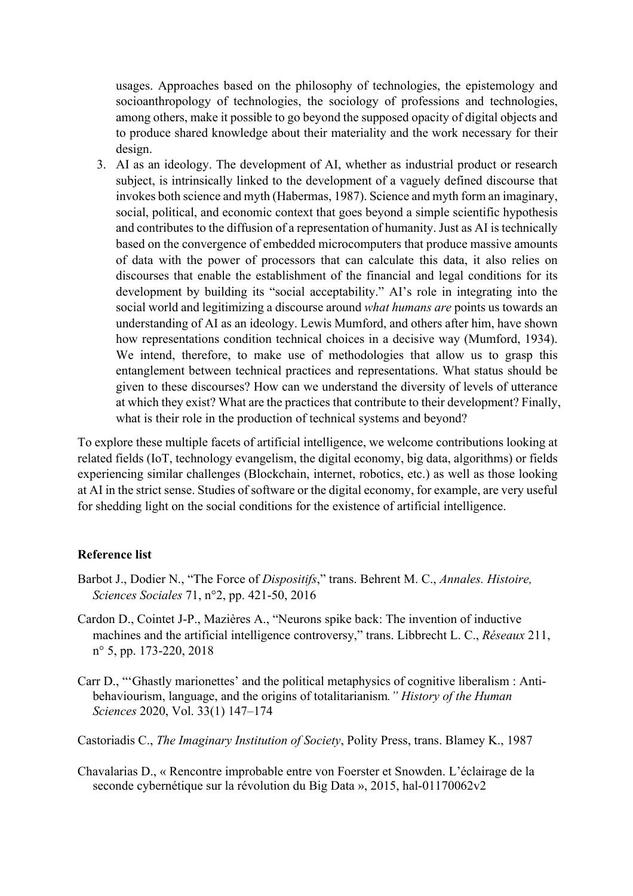usages. Approaches based on the philosophy of technologies, the epistemology and socioanthropology of technologies, the sociology of professions and technologies, among others, make it possible to go beyond the supposed opacity of digital objects and to produce shared knowledge about their materiality and the work necessary for their design.

3. AI as an ideology. The development of AI, whether as industrial product or research subject, is intrinsically linked to the development of a vaguely defined discourse that invokes both science and myth (Habermas, 1987). Science and myth form an imaginary, social, political, and economic context that goes beyond a simple scientific hypothesis and contributes to the diffusion of a representation of humanity. Just as AI is technically based on the convergence of embedded microcomputers that produce massive amounts of data with the power of processors that can calculate this data, it also relies on discourses that enable the establishment of the financial and legal conditions for its development by building its "social acceptability." AI's role in integrating into the social world and legitimizing a discourse around *what humans are* points us towards an understanding of AI as an ideology. Lewis Mumford, and others after him, have shown how representations condition technical choices in a decisive way (Mumford, 1934). We intend, therefore, to make use of methodologies that allow us to grasp this entanglement between technical practices and representations. What status should be given to these discourses? How can we understand the diversity of levels of utterance at which they exist? What are the practices that contribute to their development? Finally, what is their role in the production of technical systems and beyond?

To explore these multiple facets of artificial intelligence, we welcome contributions looking at related fields (IoT, technology evangelism, the digital economy, big data, algorithms) or fields experiencing similar challenges (Blockchain, internet, robotics, etc.) as well as those looking at AI in the strict sense. Studies of software or the digital economy, for example, are very useful for shedding light on the social conditions for the existence of artificial intelligence.

## **Reference list**

- Barbot J., Dodier N., "The Force of *Dispositifs*," trans. Behrent M. C., *Annales. Histoire, Sciences Sociales* 71, n°2, pp. 421-50, 2016
- Cardon D., Cointet J-P., Mazières A., "Neurons spike back: The invention of inductive machines and the artificial intelligence controversy," trans. Libbrecht L. C., *Réseaux* 211, n° 5, pp. 173-220, 2018
- Carr D., "'Ghastly marionettes' and the political metaphysics of cognitive liberalism : Antibehaviourism, language, and the origins of totalitarianism*." History of the Human Sciences* 2020, Vol. 33(1) 147–174
- Castoriadis C., *The Imaginary Institution of Society*, Polity Press, trans. Blamey K., 1987
- Chavalarias D., « Rencontre improbable entre von Foerster et Snowden. L'éclairage de la seconde cybernétique sur la révolution du Big Data », 2015, hal-01170062v2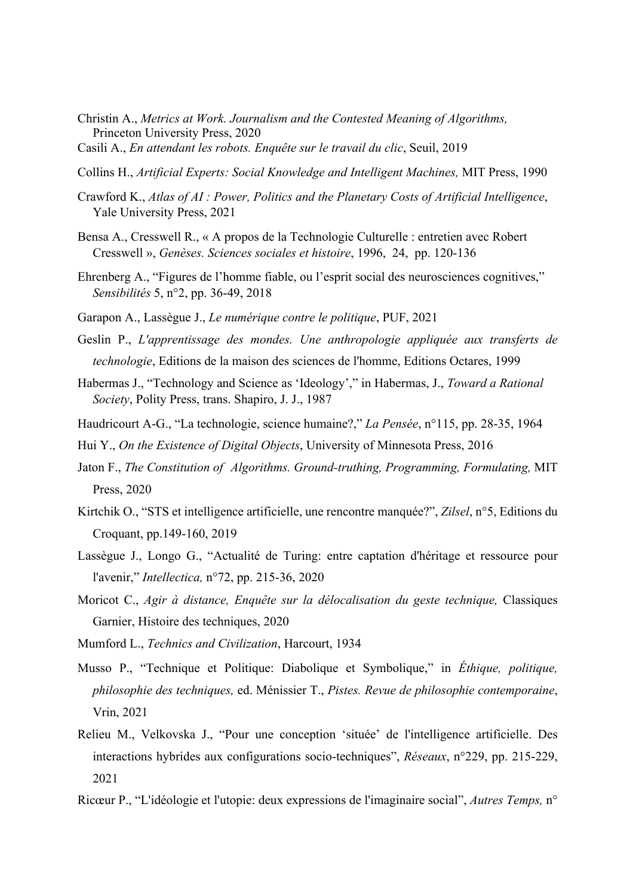- Christin A., *Metrics at Work. Journalism and the Contested Meaning of Algorithms,*  Princeton University Press, 2020
- Casili A., *En attendant les robots. Enquête sur le travail du clic*, Seuil, 2019
- Collins H., *Artificial Experts: Social Knowledge and Intelligent Machines,* MIT Press, 1990
- Crawford K., *Atlas of AI : Power, Politics and the Planetary Costs of Artificial Intelligence*, Yale University Press, 2021
- Bensa A., Cresswell R., « A propos de la Technologie Culturelle : entretien avec Robert Cresswell », *Genèses. Sciences sociales et histoire*, 1996, 24, pp. 120-136
- Ehrenberg A., "Figures de l'homme fiable, ou l'esprit social des neurosciences cognitives," *Sensibilités* 5, n°2, pp. 36-49, 2018
- Garapon A., Lassègue J., *Le numérique contre le politique*, PUF, 2021
- Geslin P., *L'apprentissage des mondes. Une anthropologie appliquée aux transferts de technologie*, Editions de la maison des sciences de l'homme, Editions Octares, 1999
- Habermas J., "Technology and Science as 'Ideology'," in Habermas, J., *Toward a Rational Society*, Polity Press, trans. Shapiro, J. J., 1987
- Haudricourt A-G., "La technologie, science humaine?," *La Pensée*, n°115, pp. 28-35, 1964
- Hui Y., *On the Existence of Digital Objects*, University of Minnesota Press, 2016
- Jaton F., *The Constitution of Algorithms. Ground-truthing, Programming, Formulating,* MIT Press, 2020
- Kirtchik O., "STS et intelligence artificielle, une rencontre manquée?", *Zilsel*, n°5, Editions du Croquant, pp.149-160, 2019
- Lassègue J., Longo G., "Actualité de Turing: entre captation d'héritage et ressource pour l'avenir," *Intellectica,* n°72, pp. 215-36, 2020
- Moricot C., *Agir à distance, Enquête sur la délocalisation du geste technique,* Classiques Garnier, Histoire des techniques, 2020
- Mumford L., *Technics and Civilization*, Harcourt, 1934
- Musso P., "Technique et Politique: Diabolique et Symbolique," in *Éthique, politique, philosophie des techniques,* ed. Ménissier T., *Pistes. Revue de philosophie contemporaine*, Vrin, 2021
- Relieu M., Velkovska J., "Pour une conception 'située' de l'intelligence artificielle. Des interactions hybrides aux configurations socio-techniques", *Réseaux*, n°229, pp. 215-229, 2021
- Ricœur P., "L'idéologie et l'utopie: deux expressions de l'imaginaire social", *Autres Temps,* n°